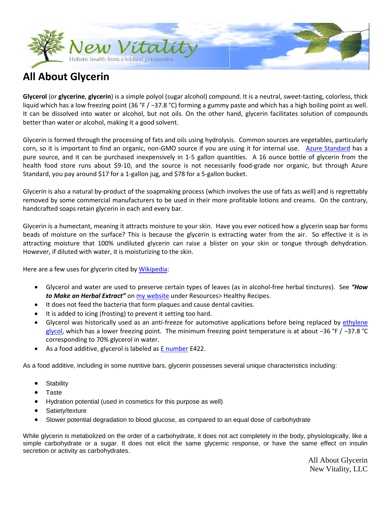

# **All About Glycerin**

**Glycerol** (or **glycerine**, **glycerin**) is a simple polyol (sugar alcohol) compound. It is a neutral, sweet-tasting, colorless, thick liquid which has a low freezing point (36 °F / −37.8 °C) forming a gummy paste and which has a high boiling point as well. It can be dissolved into water or alcohol, but not oils. On the other hand, glycerin facilitates solution of compounds better than water or alcohol, making it a good solvent.

Glycerin is formed through the processing of fats and oils using hydrolysis. Common sources are vegetables, particularly corn, so it is important to find an organic, non-GMO source if you are using it for internal use. [Azure Standard](https://www.azurestandard.com/shop/product/8221/) has a pure source, and it can be purchased inexpensively in 1-5 gallon quantities. A 16 ounce bottle of glycerin from the health food store runs about \$9-10, and the source is not necessarily food-grade nor organic, but through Azure Standard, you pay around \$17 for a 1-gallon jug, and \$78 for a 5-gallon bucket.

Glycerin is also a natural by-product of the soapmaking process (which involves the use of fats as well) and is regrettably removed by some commercial manufacturers to be used in their more profitable lotions and creams. On the contrary, handcrafted soaps retain glycerin in each and every bar.

Glycerin is a humectant, meaning it attracts moisture to your skin. Have you ever noticed how a glycerin soap bar forms beads of moisture on the surface? This is because the glycerin is extracting water from the air. So effective it is in attracting moisture that 100% undiluted glycerin can raise a blister on your skin or tongue through dehydration. However, if diluted with water, it is moisturizing to the skin.

Here are a few uses for glycerin cited by [Wikipedia:](http://en.wikipedia.org/wiki/Glycerol)

- Glycerol and water are used to preserve certain types of leaves (as in alcohol-free herbal tinctures). See *"How to Make an Herbal Extract"* o[n my website](http://yournewvitality.com/resources/healthy-recipes) under Resources> Healthy Recipes.
- It does not feed the bacteria that form plaques and cause dental cavities.
- It is added to icing (frosting) to prevent it setting too hard.
- Glycerol was historically used as an anti-freeze for automotive applications before being replaced by [ethylene](http://en.wikipedia.org/wiki/Ethylene_glycol)  [glycol,](http://en.wikipedia.org/wiki/Ethylene_glycol) which has a lower freezing point. The minimum freezing point temperature is at about −36 °F / −37.8 °C corresponding to 70% glycerol in water.
- As a food additive, glycerol is labeled a[s E number](http://en.wikipedia.org/wiki/E_number) E422.

As a food additive, including in some nutritive bars, glycerin possesses several unique characteristics including:

- **Stability**
- Taste
- Hydration potential (used in cosmetics for this purpose as well)
- Satiety/texture
- Slower potential degradation to blood glucose, as compared to an equal dose of carbohydrate

While glycerin is metabolized on the order of a carbohydrate, it does not act completely in the body, physiologically, like a simple carbohydrate or a sugar. It does not elicit the same glycemic response, or have the same effect on insulin secretion or activity as carbohydrates.

> All About Glycerin New Vitality, LLC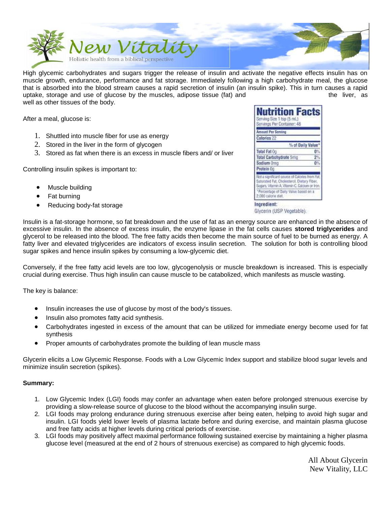

High glycemic carbohydrates and sugars trigger the release of insulin and activate the negative effects insulin has on muscle growth, endurance, performance and fat storage. Immediately following a high carbohydrate meal, the glucose that is absorbed into the blood stream causes a rapid secretion of insulin (an insulin spike). This in turn causes a rapid uptake, storage and use of glucose by the muscles, adipose tissue (fat) and the liver, as well as other tissues of the body.

After a meal, glucose is:

- 1. Shuttled into muscle fiber for use as energy
- 2. Stored in the liver in the form of glycogen
- 3. Stored as fat when there is an excess in muscle fibers and/ or liver

Controlling insulin spikes is important to:

- Muscle building
- Fat burning
- Reducing body-fat storage

| <b>Nutrition Facts</b><br>Serving Size 1 tsp (5 mL)<br>Servings Per Container: 48                                                              |    |
|------------------------------------------------------------------------------------------------------------------------------------------------|----|
| <b>Amount Per Serving</b>                                                                                                                      |    |
| Calories 22                                                                                                                                    |    |
| % of Daily Value*                                                                                                                              |    |
| Total Fat Oo                                                                                                                                   | Ø% |
| <b>Total Carbohydrate 5mg</b>                                                                                                                  | 2% |
| Sodium Orna                                                                                                                                    | 0% |
| Protein Oo                                                                                                                                     |    |
| Not a significant source of Calories from Fat.<br>Saturated Fat, Cholesterol, Dietary Fiber,<br>Sogars, Vitamin A, Vitamin C, Calcium or Iron. |    |
| *Percentage of Daily Value based on a<br>2,000 calorie diet.                                                                                   |    |

Glycerin (USP Vegetable).

Insulin is a fat-storage hormone, so fat breakdown and the use of fat as an energy source are enhanced in the absence of excessive insulin. In the absence of excess insulin, the enzyme lipase in the fat cells causes **stored triglycerides** and glycerol to be released into the blood. The free fatty acids then become the main source of fuel to be burned as energy. A fatty liver and elevated triglycerides are indicators of excess insulin secretion. The solution for both is controlling blood sugar spikes and hence insulin spikes by consuming a low-glycemic diet.

Conversely, if the free fatty acid levels are too low, glycogenolysis or muscle breakdown is increased. This is especially crucial during exercise. Thus high insulin can cause muscle to be catabolized, which manifests as muscle wasting.

The key is balance:

- Insulin increases the use of glucose by most of the body's tissues.
- Insulin also promotes fatty acid synthesis.
- Carbohydrates ingested in excess of the amount that can be utilized for immediate energy become used for fat synthesis
- Proper amounts of carbohydrates promote the building of lean muscle mass

Glycerin elicits a Low Glycemic Response. Foods with a Low Glycemic Index support and stabilize blood sugar levels and minimize insulin secretion (spikes).

#### **Summary:**

- 1. Low Glycemic Index (LGI) foods may confer an advantage when eaten before prolonged strenuous exercise by providing a slow-release source of glucose to the blood without the accompanying insulin surge.
- 2. LGI foods may prolong endurance during strenuous exercise after being eaten, helping to avoid high sugar and insulin. LGI foods yield lower levels of plasma lactate before and during exercise, and maintain plasma glucose and free fatty acids at higher levels during critical periods of exercise.
- 3. LGI foods may positively affect maximal performance following sustained exercise by maintaining a higher plasma glucose level (measured at the end of 2 hours of strenuous exercise) as compared to high glycemic foods.

 All About Glycerin New Vitality, LLC